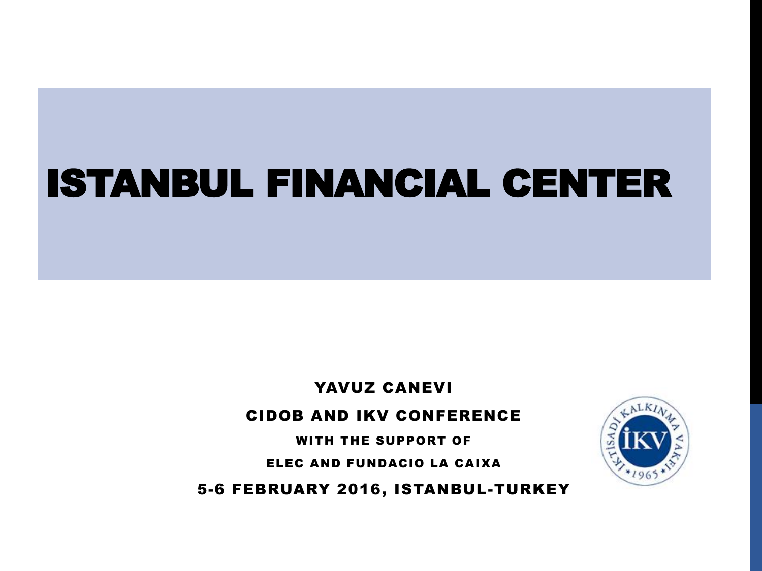# ISTANBUL FINANCIAL CENTER

YAVUZ CANEVI

#### CIDOB AND IKV CONFERENCE

WITH THE SUPPORT OF

ELEC AND FUNDACIO LA CAIXA

5-6 FEBRUARY 2016, ISTANBUL-TURKEY

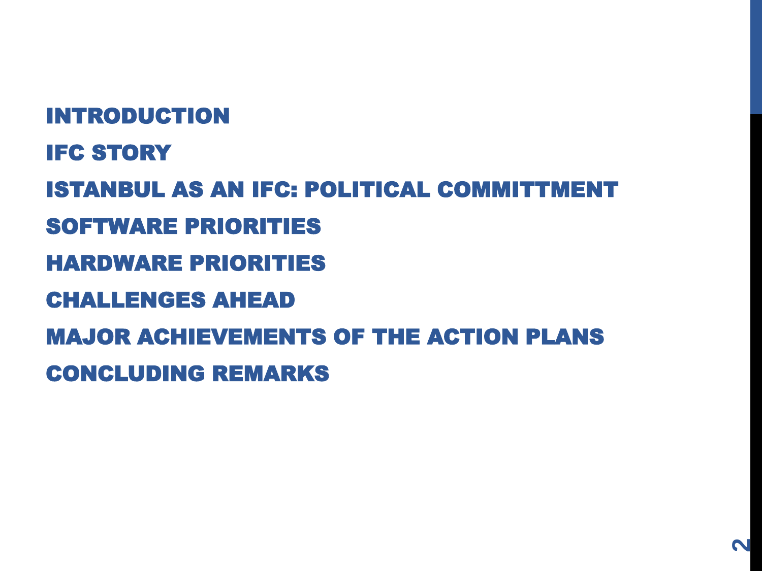INTRODUCTION **IFC STORY** ISTANBUL AS AN IFC: POLITICAL COMMITTMENT SOFTWARE PRIORITIES HARDWARE PRIORITIES CHALLENGES AHEAD MAJOR ACHIEVEMENTS OF THE ACTION PLANS CONCLUDING REMARKS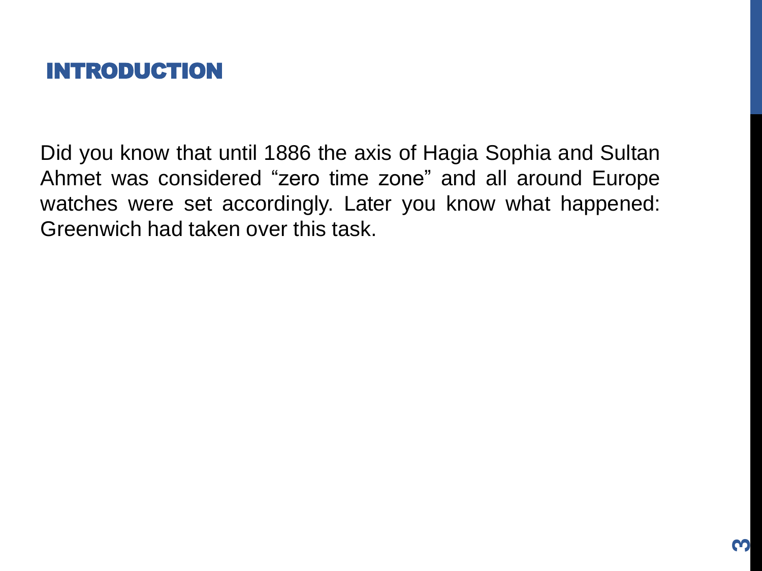

Did you know that until 1886 the axis of Hagia Sophia and Sultan Ahmet was considered "zero time zone" and all around Europe watches were set accordingly. Later you know what happened: Greenwich had taken over this task.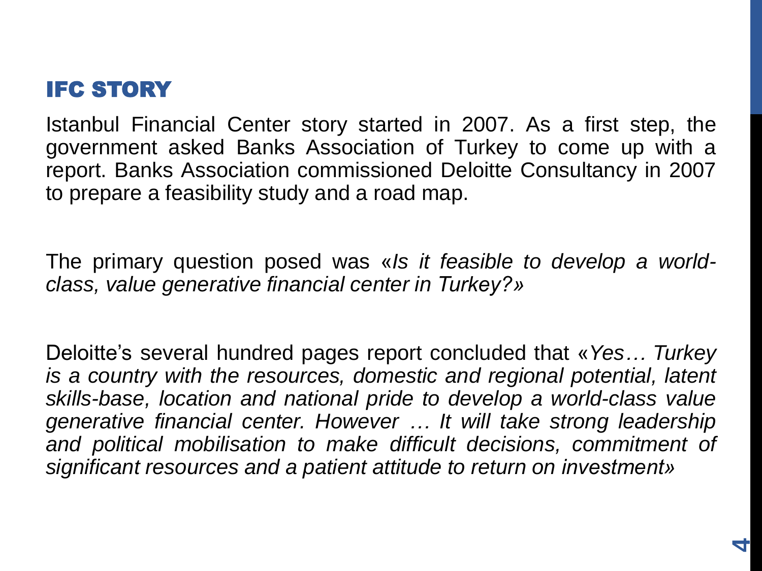## **IFC STORY**

Istanbul Financial Center story started in 2007. As a first step, the government asked Banks Association of Turkey to come up with a report. Banks Association commissioned Deloitte Consultancy in 2007 to prepare a feasibility study and a road map.

The primary question posed was «*Is it feasible to develop a worldclass, value generative financial center in Turkey?»*

Deloitte's several hundred pages report concluded that «*Yes… Turkey is a country with the resources, domestic and regional potential, latent skills-base, location and national pride to develop a world-class value generative financial center. However … It will take strong leadership and political mobilisation to make difficult decisions, commitment of significant resources and a patient attitude to return on investment»*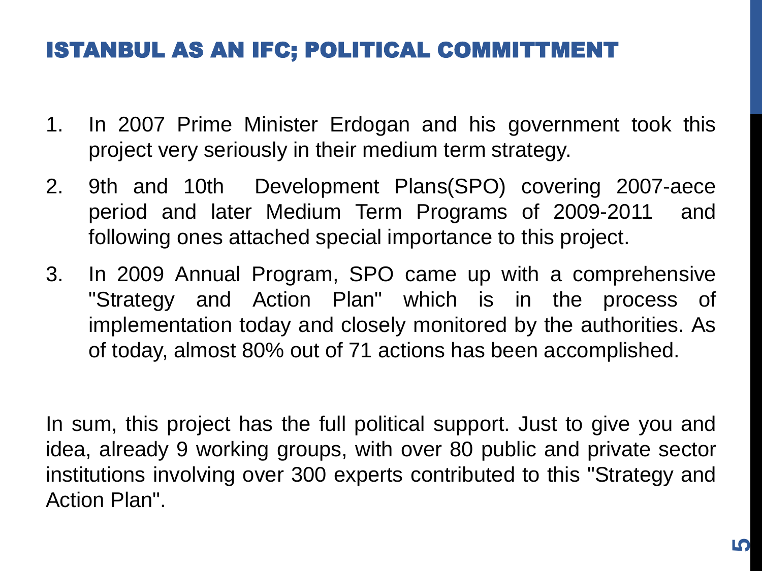## ISTANBUL AS AN IFC; POLITICAL COMMITTMENT

- 1. In 2007 Prime Minister Erdogan and his government took this project very seriously in their medium term strategy.
- 2. 9th and 10th Development Plans(SPO) covering 2007-aece period and later Medium Term Programs of 2009-2011 and following ones attached special importance to this project.
- 3. In 2009 Annual Program, SPO came up with a comprehensive "Strategy and Action Plan" which is in the process of implementation today and closely monitored by the authorities. As of today, almost 80% out of 71 actions has been accomplished.

In sum, this project has the full political support. Just to give you and idea, already 9 working groups, with over 80 public and private sector institutions involving over 300 experts contributed to this "Strategy and Action Plan".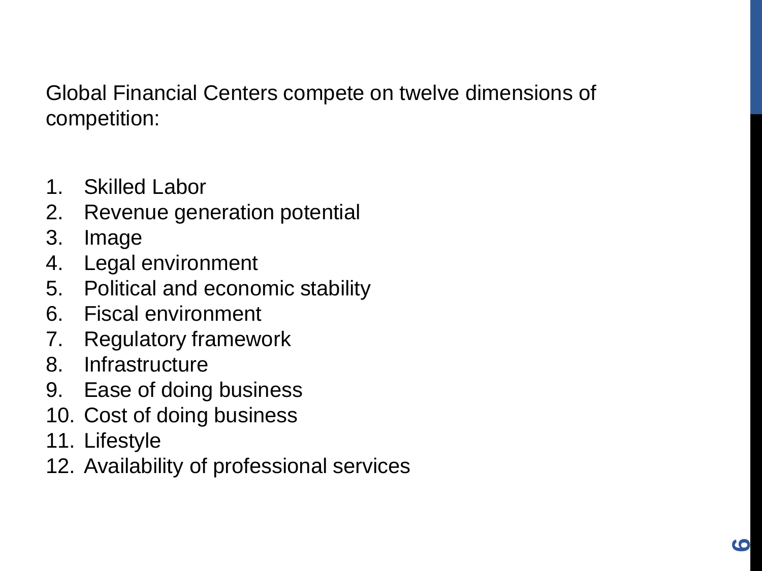Global Financial Centers compete on twelve dimensions of competition:

- 1. Skilled Labor
- 2. Revenue generation potential
- 3. Image
- 4. Legal environment
- 5. Political and economic stability
- 6. Fiscal environment
- 7. Regulatory framework
- 8. Infrastructure
- 9. Ease of doing business
- 10. Cost of doing business
- 11. Lifestyle
- 12. Availability of professional services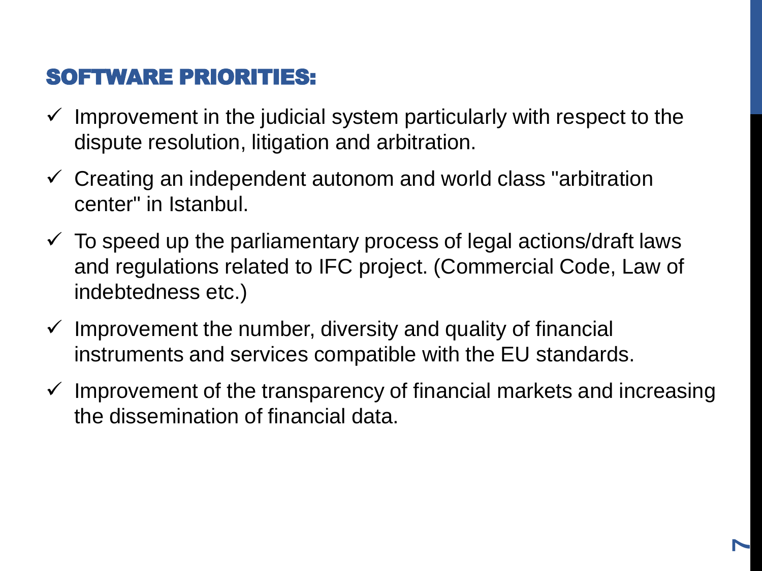## SOFTWARE PRIORITIES:

- $\checkmark$  Improvement in the judicial system particularly with respect to the dispute resolution, litigation and arbitration.
- $\checkmark$  Creating an independent autonom and world class "arbitration" center" in Istanbul.
- $\checkmark$  To speed up the parliamentary process of legal actions/draft laws and regulations related to IFC project. (Commercial Code, Law of indebtedness etc.)
- $\checkmark$  Improvement the number, diversity and quality of financial instruments and services compatible with the EU standards.
- $\checkmark$  Improvement of the transparency of financial markets and increasing the dissemination of financial data.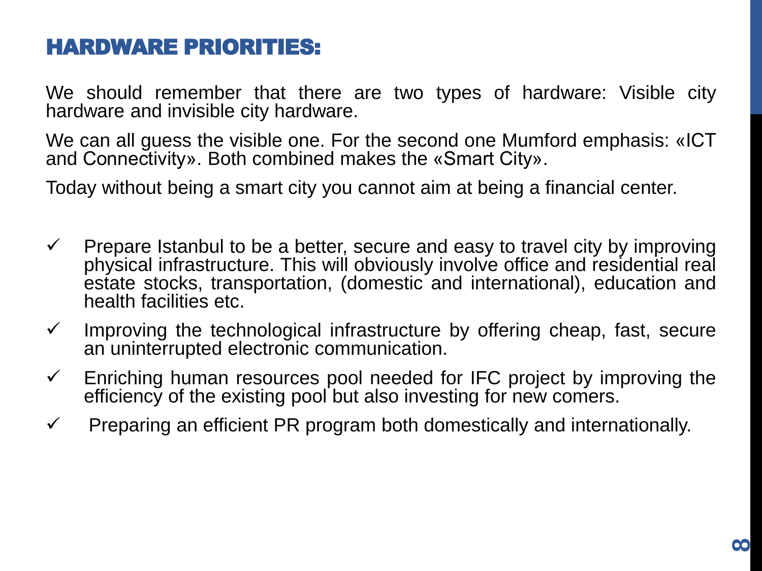## HARDWARE PRIORITIES:

We should remember that there are two types of hardware: Visible city hardware and invisible city hardware.

We can all guess the visible one. For the second one Mumford emphasis: «ICT and Connectivity». Both combined makes the «Smart City».

Today without being a smart city you cannot aim at being a financial center.

- $\checkmark$  Prepare Istanbul to be a better, secure and easy to travel city by improving physical infrastructure. This will obviously involve office and residential real estate stocks, transportation, (domestic and international), education and health facilities etc.
- $\checkmark$  Improving the technological infrastructure by offering cheap, fast, secure an uninterrupted electronic communication.
- $\checkmark$  Enriching human resources pool needed for IFC project by improving the efficiency of the existing pool but also investing for new comers.
- $\checkmark$  Preparing an efficient PR program both domestically and internationally.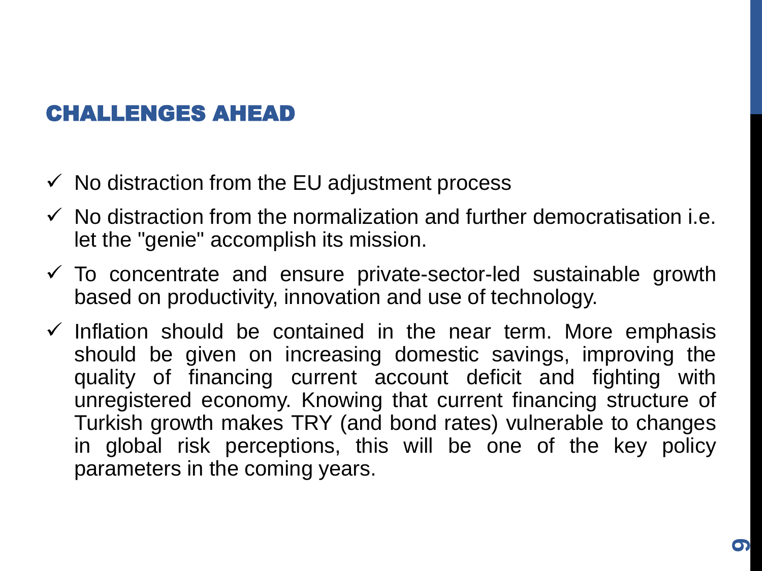## CHALLENGES AHEAD

- $\checkmark$  No distraction from the EU adjustment process
- $\checkmark$  No distraction from the normalization and further democratisation i.e. let the "genie" accomplish its mission.
- $\checkmark$  To concentrate and ensure private-sector-led sustainable growth based on productivity, innovation and use of technology.
- $\checkmark$  Inflation should be contained in the near term. More emphasis should be given on increasing domestic savings, improving the quality of financing current account deficit and fighting with unregistered economy. Knowing that current financing structure of Turkish growth makes TRY (and bond rates) vulnerable to changes in global risk perceptions, this will be one of the key policy parameters in the coming years.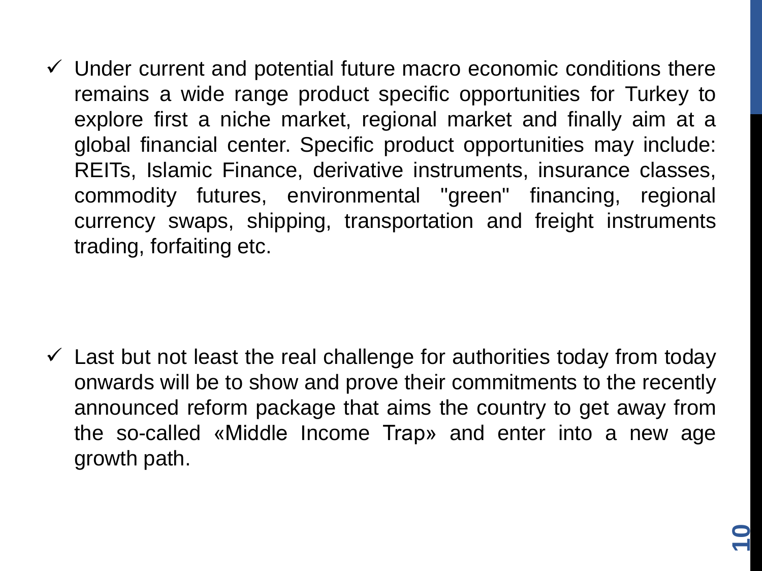$\checkmark$  Under current and potential future macro economic conditions there remains a wide range product specific opportunities for Turkey to explore first a niche market, regional market and finally aim at a global financial center. Specific product opportunities may include: REITs, Islamic Finance, derivative instruments, insurance classes, commodity futures, environmental "green" financing, regional currency swaps, shipping, transportation and freight instruments trading, forfaiting etc.

 $\checkmark$  Last but not least the real challenge for authorities today from today onwards will be to show and prove their commitments to the recently announced reform package that aims the country to get away from the so-called «Middle Income Trap» and enter into a new age growth path.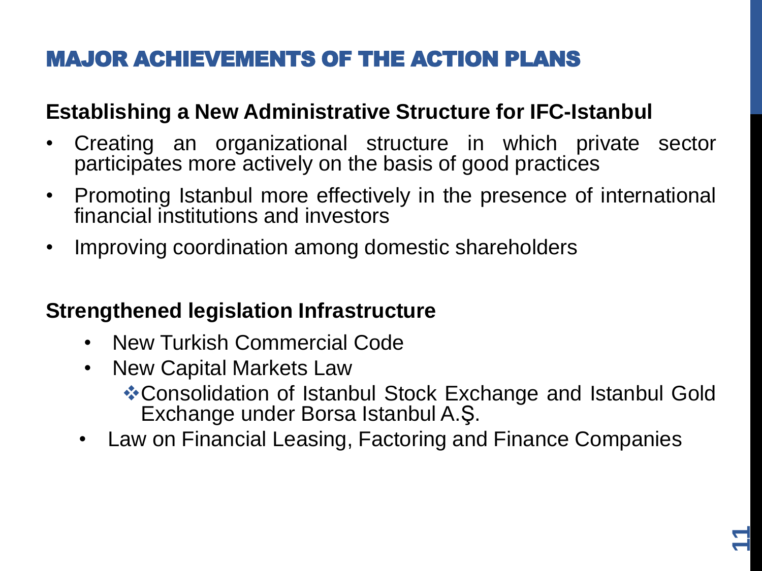# MAJOR ACHIEVEMENTS OF THE ACTION PLANS

## **Establishing a New Administrative Structure for IFC-Istanbul**

- Creating an organizational structure in which private sector participates more actively on the basis of good practices
- Promoting Istanbul more effectively in the presence of international financial institutions and investors
- Improving coordination among domestic shareholders

#### **Strengthened legislation Infrastructure**

- New Turkish Commercial Code
- New Capital Markets Law Consolidation of Istanbul Stock Exchange and Istanbul Gold Exchange under Borsa Istanbul A.Ş.
- Law on Financial Leasing, Factoring and Finance Companies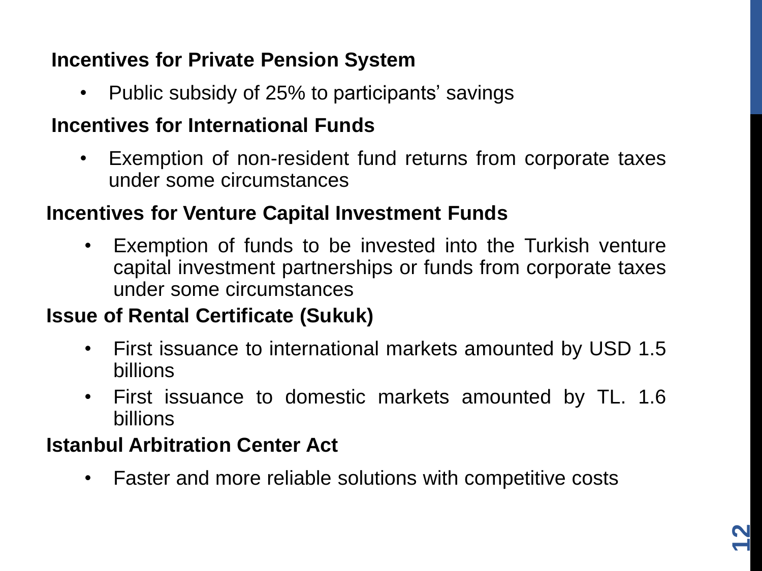## **Incentives for Private Pension System**

• Public subsidy of 25% to participants' savings

#### **Incentives for International Funds**

• Exemption of non-resident fund returns from corporate taxes under some circumstances

#### **Incentives for Venture Capital Investment Funds**

• Exemption of funds to be invested into the Turkish venture capital investment partnerships or funds from corporate taxes under some circumstances

#### **Issue of Rental Certificate (Sukuk)**

- First issuance to international markets amounted by USD 1.5 billions
- First issuance to domestic markets amounted by TL. 1.6 billions

## **Istanbul Arbitration Center Act**

• Faster and more reliable solutions with competitive costs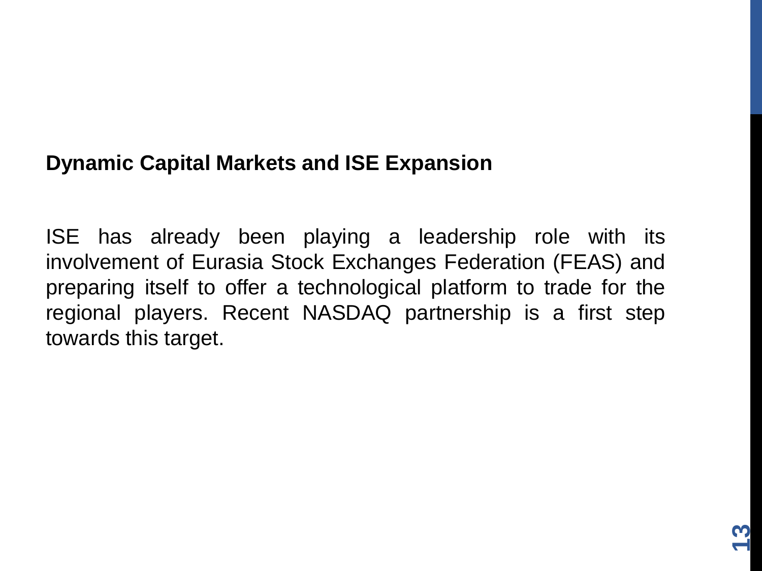#### **Dynamic Capital Markets and ISE Expansion**

ISE has already been playing a leadership role with its involvement of Eurasia Stock Exchanges Federation (FEAS) and preparing itself to offer a technological platform to trade for the regional players. Recent NASDAQ partnership is a first step towards this target.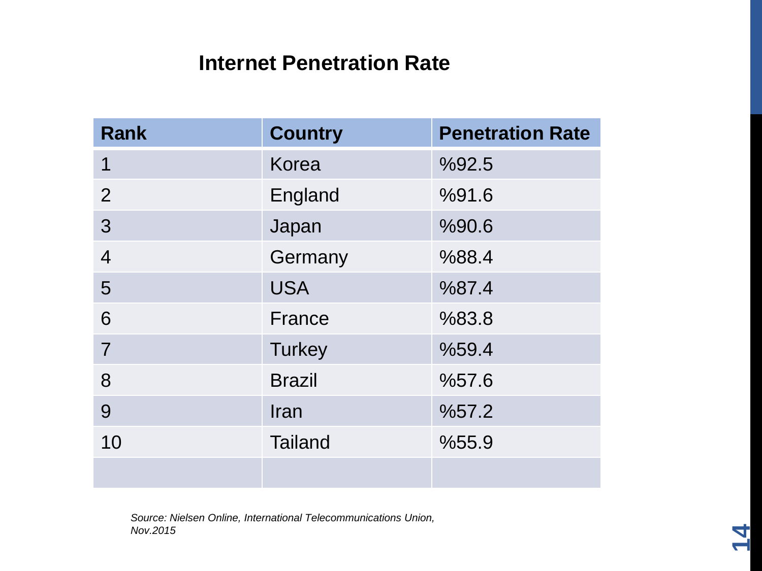#### **Internet Penetration Rate**

| <b>Rank</b>    | <b>Country</b> | <b>Penetration Rate</b> |  |
|----------------|----------------|-------------------------|--|
| $\mathbf 1$    | <b>Korea</b>   | %92.5                   |  |
| 2              | England        | %91.6                   |  |
| 3              | Japan          | %90.6                   |  |
| $\overline{4}$ | Germany        | %88.4                   |  |
| 5              | <b>USA</b>     | %87.4                   |  |
| 6              | France         | %83.8                   |  |
| $\overline{7}$ | <b>Turkey</b>  | %59.4                   |  |
| 8              | <b>Brazil</b>  | %57.6                   |  |
| 9              | Iran           | %57.2                   |  |
| 10             | <b>Tailand</b> | %55.9                   |  |
|                |                |                         |  |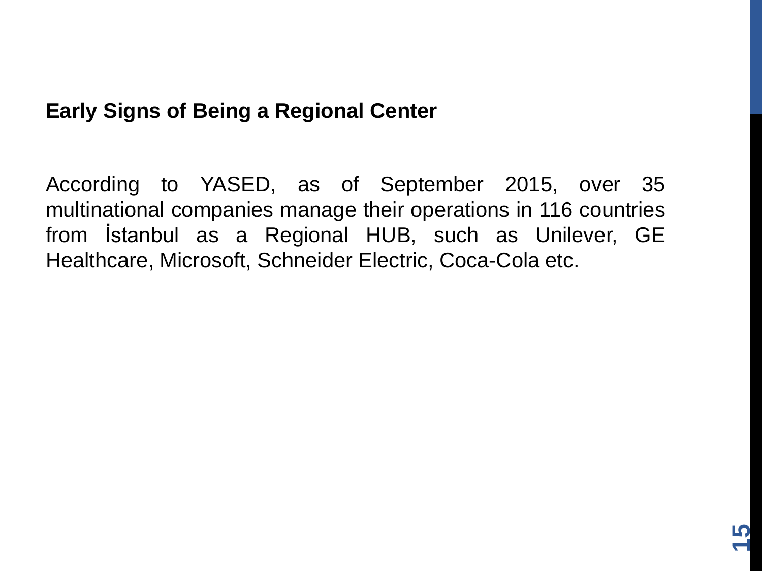## **Early Signs of Being a Regional Center**

According to YASED, as of September 2015, over 35 multinational companies manage their operations in 116 countries from İstanbul as a Regional HUB, such as Unilever, GE Healthcare, Microsoft, Schneider Electric, Coca-Cola etc.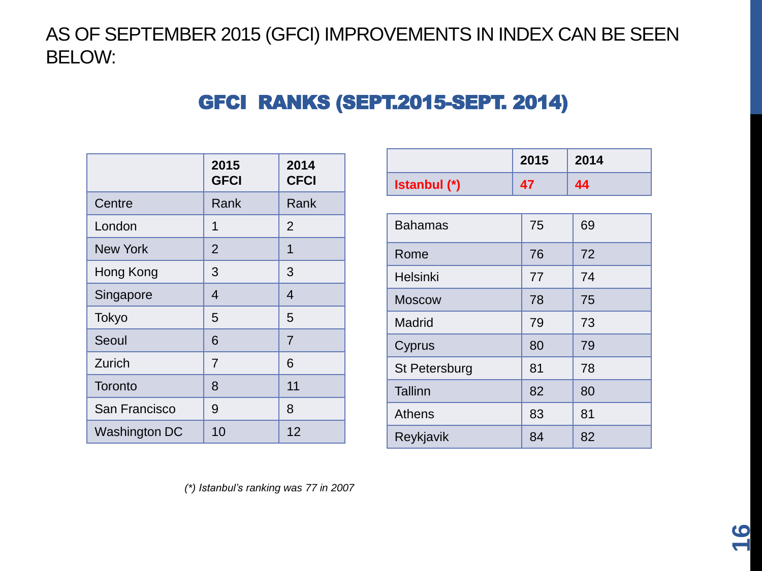AS OF SEPTEMBER 2015 (GFCI) IMPROVEMENTS IN INDEX CAN BE SEEN BELOW:

#### GFCI RANKS (SEPT.2015-SEPT. 2014)

|                 | 2015<br><b>GFCI</b> | 2014<br><b>CFCI</b> |
|-----------------|---------------------|---------------------|
| Centre          | Rank                | Rank                |
| London          | 1                   | $\overline{2}$      |
| <b>New York</b> | $\overline{2}$      | 1                   |
| Hong Kong       | 3                   | 3                   |
| Singapore       | $\overline{4}$      | 4                   |
| Tokyo           | 5                   | 5                   |
| Seoul           | 6                   | $\overline{7}$      |
| Zurich          | $\overline{7}$      | 6                   |
| Toronto         | 8                   | 11                  |
| San Francisco   | 9                   | 8                   |
| Washington DC   | 10                  | 12                  |

|                      | 2015 | 2014 |
|----------------------|------|------|
| Istanbul (*)         | 47   | 44   |
|                      |      |      |
| <b>Bahamas</b>       | 75   | 69   |
| Rome                 | 76   | 72   |
| Helsinki             | 77   | 74   |
| <b>Moscow</b>        | 78   | 75   |
| Madrid               | 79   | 73   |
| Cyprus               | 80   | 79   |
| <b>St Petersburg</b> | 81   | 78   |
| <b>Tallinn</b>       | 82   | 80   |
| <b>Athens</b>        | 83   | 81   |
| Reykjavik            | 84   | 82   |

*(\*) Istanbul's ranking was 77 in 2007*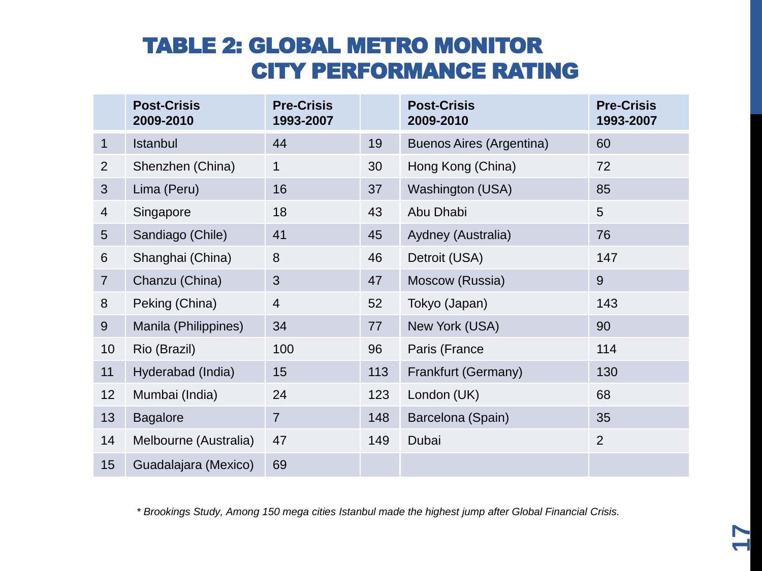## TABLE 2: GLOBAL METRO MONITOR CITY PERFORMANCE RATING

|                | <b>Post-Crisis</b><br>2009-2010 | <b>Pre-Crisis</b><br>1993-2007 |     | <b>Post-Crisis</b><br>2009-2010 | <b>Pre-Crisis</b><br>1993-2007 |
|----------------|---------------------------------|--------------------------------|-----|---------------------------------|--------------------------------|
| $\mathbf 1$    | Istanbul                        | 44                             | 19  | <b>Buenos Aires (Argentina)</b> | 60                             |
| $\overline{2}$ | Shenzhen (China)                | 1                              | 30  | Hong Kong (China)               | 72                             |
| 3              | Lima (Peru)                     | 16                             | 37  | Washington (USA)                | 85                             |
| $\overline{4}$ | Singapore                       | 18                             | 43  | Abu Dhabi                       | 5                              |
| 5              | Sandiago (Chile)                | 41                             | 45  | Aydney (Australia)              | 76                             |
| 6              | Shanghai (China)                | 8                              | 46  | Detroit (USA)                   | 147                            |
| $\overline{7}$ | Chanzu (China)                  | 3                              | 47  | Moscow (Russia)                 | 9                              |
| 8              | Peking (China)                  | $\overline{4}$                 | 52  | Tokyo (Japan)                   | 143                            |
| $\overline{9}$ | Manila (Philippines)            | 34                             | 77  | New York (USA)                  | 90                             |
| 10             | Rio (Brazil)                    | 100                            | 96  | Paris (France                   | 114                            |
| 11             | Hyderabad (India)               | 15                             | 113 | Frankfurt (Germany)             | 130                            |
| 12             | Mumbai (India)                  | 24                             | 123 | London (UK)                     | 68                             |
| 13             | <b>Bagalore</b>                 | $\overline{7}$                 | 148 | Barcelona (Spain)               | 35                             |
| 14             | Melbourne (Australia)           | 47                             | 149 | Dubai                           | $\overline{2}$                 |
| 15             | Guadalajara (Mexico)            | 69                             |     |                                 |                                |

*\* Brookings Study, Among 150 mega cities Istanbul made the highest jump after Global Financial Crisis.*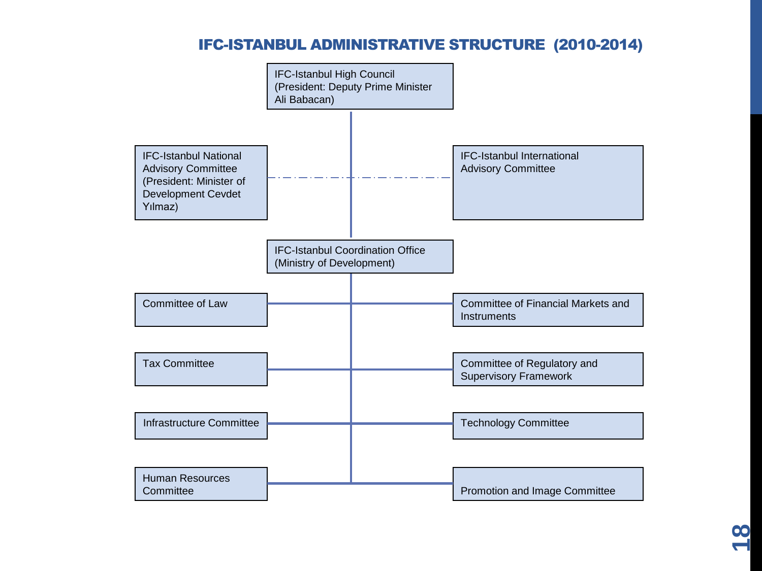#### IFC-ISTANBUL ADMINISTRATIVE STRUCTURE (2010-2014)



**00**